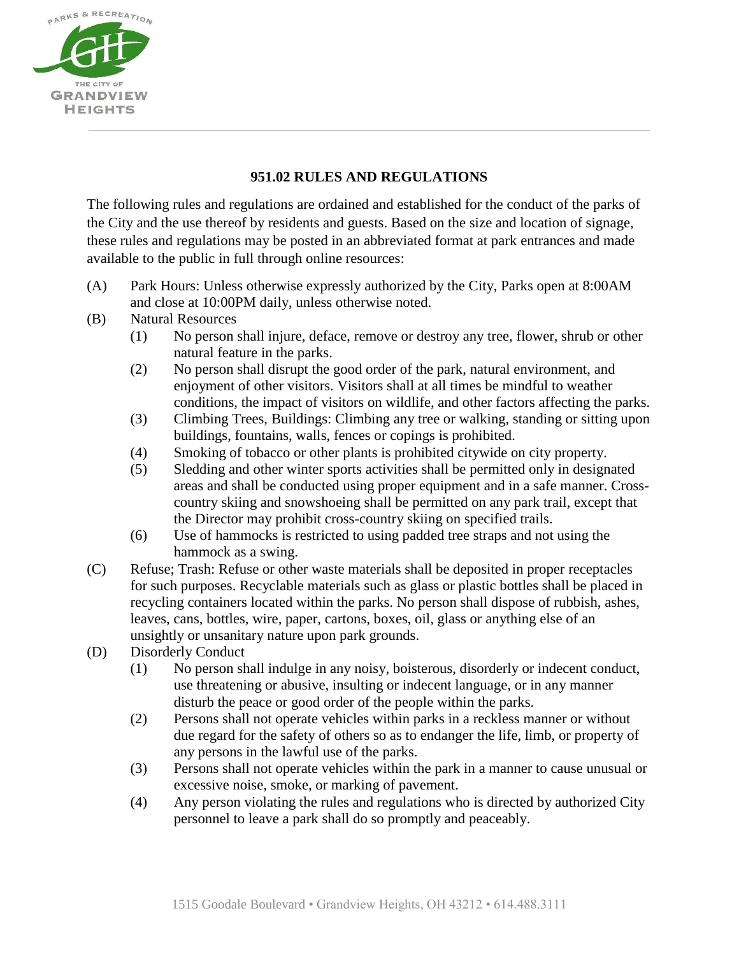

## **951.02 RULES AND REGULATIONS**

The following rules and regulations are ordained and established for the conduct of the parks of the City and the use thereof by residents and guests. Based on the size and location of signage, these rules and regulations may be posted in an abbreviated format at park entrances and made available to the public in full through online resources:

- (A) Park Hours: Unless otherwise expressly authorized by the City, Parks open at 8:00AM and close at 10:00PM daily, unless otherwise noted.
- (B) Natural Resources
	- (1) No person shall injure, deface, remove or destroy any tree, flower, shrub or other natural feature in the parks.
	- (2) No person shall disrupt the good order of the park, natural environment, and enjoyment of other visitors. Visitors shall at all times be mindful to weather conditions, the impact of visitors on wildlife, and other factors affecting the parks.
	- (3) Climbing Trees, Buildings: Climbing any tree or walking, standing or sitting upon buildings, fountains, walls, fences or copings is prohibited.
	- (4) Smoking of tobacco or other plants is prohibited citywide on city property.
	- (5) Sledding and other winter sports activities shall be permitted only in designated areas and shall be conducted using proper equipment and in a safe manner. Crosscountry skiing and snowshoeing shall be permitted on any park trail, except that the Director may prohibit cross-country skiing on specified trails.
	- (6) Use of hammocks is restricted to using padded tree straps and not using the hammock as a swing.
- (C) Refuse; Trash: Refuse or other waste materials shall be deposited in proper receptacles for such purposes. Recyclable materials such as glass or plastic bottles shall be placed in recycling containers located within the parks. No person shall dispose of rubbish, ashes, leaves, cans, bottles, wire, paper, cartons, boxes, oil, glass or anything else of an unsightly or unsanitary nature upon park grounds.
- (D) Disorderly Conduct
	- (1) No person shall indulge in any noisy, boisterous, disorderly or indecent conduct, use threatening or abusive, insulting or indecent language, or in any manner disturb the peace or good order of the people within the parks.
	- (2) Persons shall not operate vehicles within parks in a reckless manner or without due regard for the safety of others so as to endanger the life, limb, or property of any persons in the lawful use of the parks.
	- (3) Persons shall not operate vehicles within the park in a manner to cause unusual or excessive noise, smoke, or marking of pavement.
	- (4) Any person violating the rules and regulations who is directed by authorized City personnel to leave a park shall do so promptly and peaceably.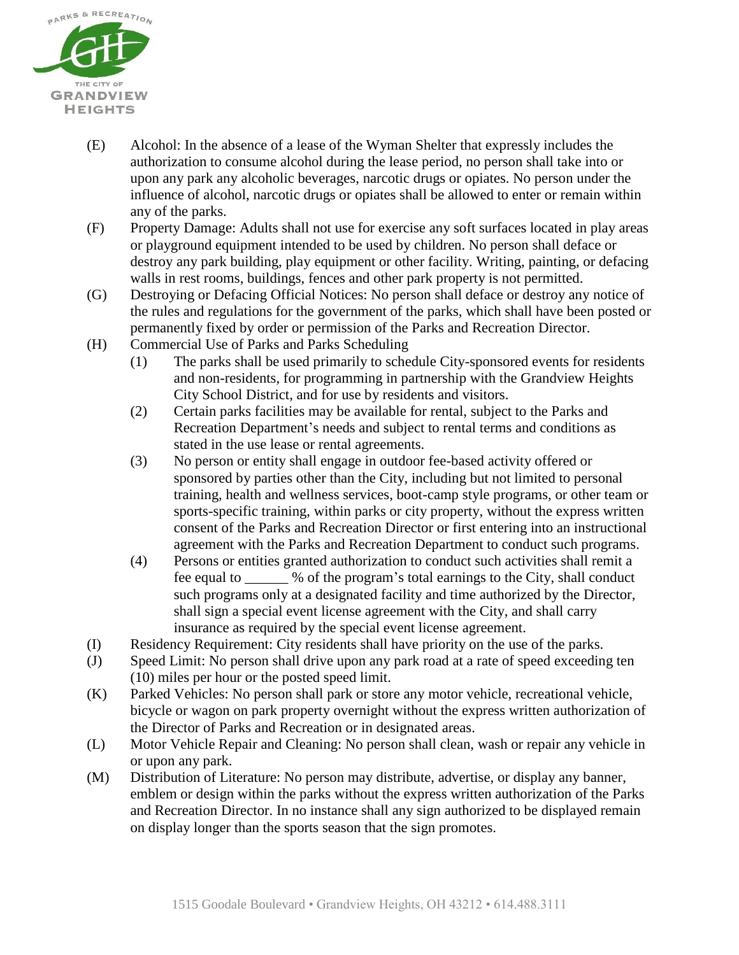

- (E) Alcohol: In the absence of a lease of the Wyman Shelter that expressly includes the authorization to consume alcohol during the lease period, no person shall take into or upon any park any alcoholic beverages, narcotic drugs or opiates. No person under the influence of alcohol, narcotic drugs or opiates shall be allowed to enter or remain within any of the parks.
- (F) Property Damage: Adults shall not use for exercise any soft surfaces located in play areas or playground equipment intended to be used by children. No person shall deface or destroy any park building, play equipment or other facility. Writing, painting, or defacing walls in rest rooms, buildings, fences and other park property is not permitted.
- (G) Destroying or Defacing Official Notices: No person shall deface or destroy any notice of the rules and regulations for the government of the parks, which shall have been posted or permanently fixed by order or permission of the Parks and Recreation Director.
- (H) Commercial Use of Parks and Parks Scheduling
	- (1) The parks shall be used primarily to schedule City-sponsored events for residents and non-residents, for programming in partnership with the Grandview Heights City School District, and for use by residents and visitors.
	- (2) Certain parks facilities may be available for rental, subject to the Parks and Recreation Department's needs and subject to rental terms and conditions as stated in the use lease or rental agreements.
	- (3) No person or entity shall engage in outdoor fee-based activity offered or sponsored by parties other than the City, including but not limited to personal training, health and wellness services, boot-camp style programs, or other team or sports-specific training, within parks or city property, without the express written consent of the Parks and Recreation Director or first entering into an instructional agreement with the Parks and Recreation Department to conduct such programs.
	- (4) Persons or entities granted authorization to conduct such activities shall remit a fee equal to \_\_\_\_\_\_ % of the program's total earnings to the City, shall conduct such programs only at a designated facility and time authorized by the Director, shall sign a special event license agreement with the City, and shall carry insurance as required by the special event license agreement.
- (I) Residency Requirement: City residents shall have priority on the use of the parks.
- (J) Speed Limit: No person shall drive upon any park road at a rate of speed exceeding ten (10) miles per hour or the posted speed limit.
- (K) Parked Vehicles: No person shall park or store any motor vehicle, recreational vehicle, bicycle or wagon on park property overnight without the express written authorization of the Director of Parks and Recreation or in designated areas.
- (L) Motor Vehicle Repair and Cleaning: No person shall clean, wash or repair any vehicle in or upon any park.
- (M) Distribution of Literature: No person may distribute, advertise, or display any banner, emblem or design within the parks without the express written authorization of the Parks and Recreation Director. In no instance shall any sign authorized to be displayed remain on display longer than the sports season that the sign promotes.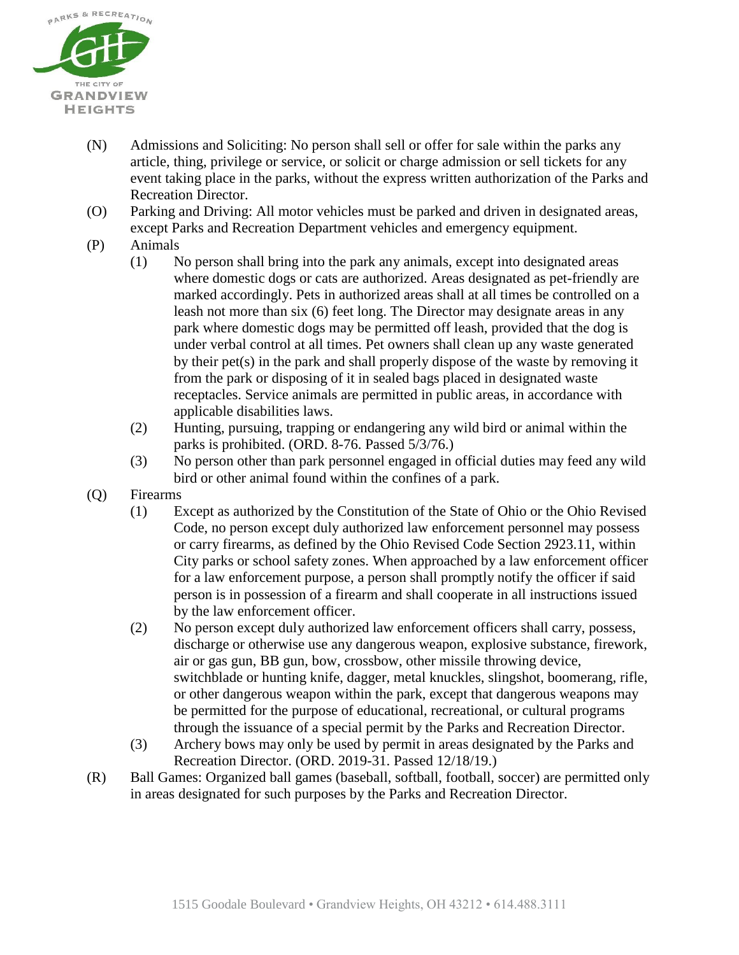

- (N) Admissions and Soliciting: No person shall sell or offer for sale within the parks any article, thing, privilege or service, or solicit or charge admission or sell tickets for any event taking place in the parks, without the express written authorization of the Parks and Recreation Director.
- (O) Parking and Driving: All motor vehicles must be parked and driven in designated areas, except Parks and Recreation Department vehicles and emergency equipment.
- (P) Animals
	- (1) No person shall bring into the park any animals, except into designated areas where domestic dogs or cats are authorized. Areas designated as pet-friendly are marked accordingly. Pets in authorized areas shall at all times be controlled on a leash not more than six (6) feet long. The Director may designate areas in any park where domestic dogs may be permitted off leash, provided that the dog is under verbal control at all times. Pet owners shall clean up any waste generated by their pet(s) in the park and shall properly dispose of the waste by removing it from the park or disposing of it in sealed bags placed in designated waste receptacles. Service animals are permitted in public areas, in accordance with applicable disabilities laws.
	- (2) Hunting, pursuing, trapping or endangering any wild bird or animal within the parks is prohibited. (ORD. 8-76. Passed 5/3/76.)
	- (3) No person other than park personnel engaged in official duties may feed any wild bird or other animal found within the confines of a park.
- (Q) Firearms
	- (1) Except as authorized by the Constitution of the State of Ohio or the Ohio Revised Code, no person except duly authorized law enforcement personnel may possess or carry firearms, as defined by the Ohio Revised Code Section 2923.11, within City parks or school safety zones. When approached by a law enforcement officer for a law enforcement purpose, a person shall promptly notify the officer if said person is in possession of a firearm and shall cooperate in all instructions issued by the law enforcement officer.
	- (2) No person except duly authorized law enforcement officers shall carry, possess, discharge or otherwise use any dangerous weapon, explosive substance, firework, air or gas gun, BB gun, bow, crossbow, other missile throwing device, switchblade or hunting knife, dagger, metal knuckles, slingshot, boomerang, rifle, or other dangerous weapon within the park, except that dangerous weapons may be permitted for the purpose of educational, recreational, or cultural programs through the issuance of a special permit by the Parks and Recreation Director.
	- (3) Archery bows may only be used by permit in areas designated by the Parks and Recreation Director. (ORD. 2019-31. Passed 12/18/19.)
- (R) Ball Games: Organized ball games (baseball, softball, football, soccer) are permitted only in areas designated for such purposes by the Parks and Recreation Director.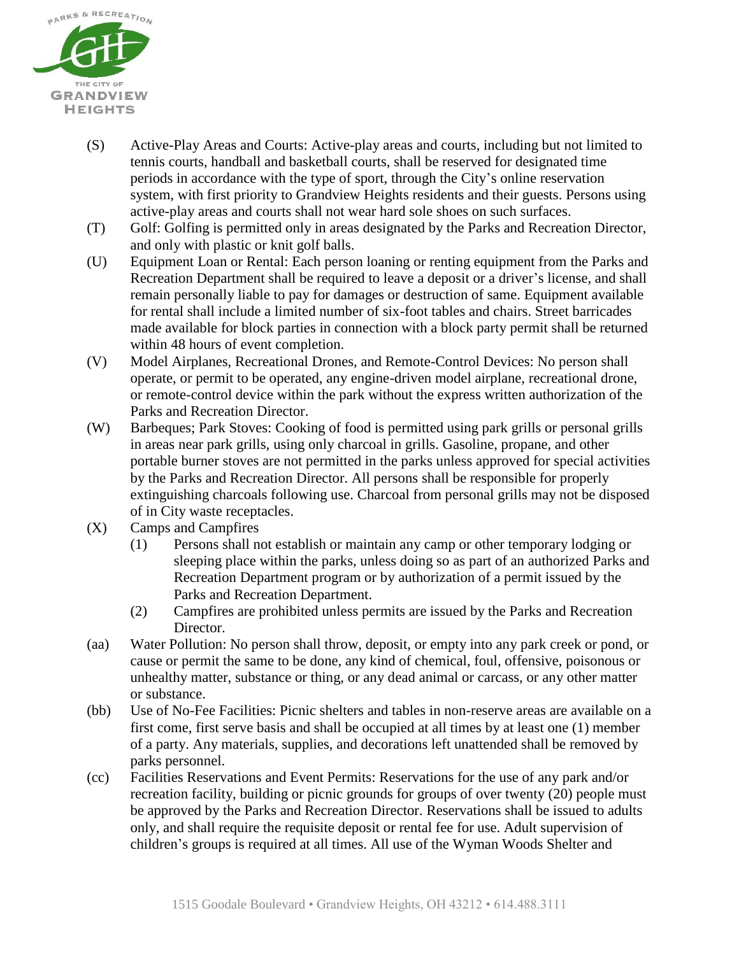

- (S) Active-Play Areas and Courts: Active-play areas and courts, including but not limited to tennis courts, handball and basketball courts, shall be reserved for designated time periods in accordance with the type of sport, through the City's online reservation system, with first priority to Grandview Heights residents and their guests. Persons using active-play areas and courts shall not wear hard sole shoes on such surfaces.
- (T) Golf: Golfing is permitted only in areas designated by the Parks and Recreation Director, and only with plastic or knit golf balls.
- (U) Equipment Loan or Rental: Each person loaning or renting equipment from the Parks and Recreation Department shall be required to leave a deposit or a driver's license, and shall remain personally liable to pay for damages or destruction of same. Equipment available for rental shall include a limited number of six-foot tables and chairs. Street barricades made available for block parties in connection with a block party permit shall be returned within 48 hours of event completion.
- (V) Model Airplanes, Recreational Drones, and Remote-Control Devices: No person shall operate, or permit to be operated, any engine-driven model airplane, recreational drone, or remote-control device within the park without the express written authorization of the Parks and Recreation Director.
- (W) Barbeques; Park Stoves: Cooking of food is permitted using park grills or personal grills in areas near park grills, using only charcoal in grills. Gasoline, propane, and other portable burner stoves are not permitted in the parks unless approved for special activities by the Parks and Recreation Director. All persons shall be responsible for properly extinguishing charcoals following use. Charcoal from personal grills may not be disposed of in City waste receptacles.
- (X) Camps and Campfires
	- (1) Persons shall not establish or maintain any camp or other temporary lodging or sleeping place within the parks, unless doing so as part of an authorized Parks and Recreation Department program or by authorization of a permit issued by the Parks and Recreation Department.
	- (2) Campfires are prohibited unless permits are issued by the Parks and Recreation Director.
- (aa) Water Pollution: No person shall throw, deposit, or empty into any park creek or pond, or cause or permit the same to be done, any kind of chemical, foul, offensive, poisonous or unhealthy matter, substance or thing, or any dead animal or carcass, or any other matter or substance.
- (bb) Use of No-Fee Facilities: Picnic shelters and tables in non-reserve areas are available on a first come, first serve basis and shall be occupied at all times by at least one (1) member of a party. Any materials, supplies, and decorations left unattended shall be removed by parks personnel.
- (cc) Facilities Reservations and Event Permits: Reservations for the use of any park and/or recreation facility, building or picnic grounds for groups of over twenty (20) people must be approved by the Parks and Recreation Director. Reservations shall be issued to adults only, and shall require the requisite deposit or rental fee for use. Adult supervision of children's groups is required at all times. All use of the Wyman Woods Shelter and